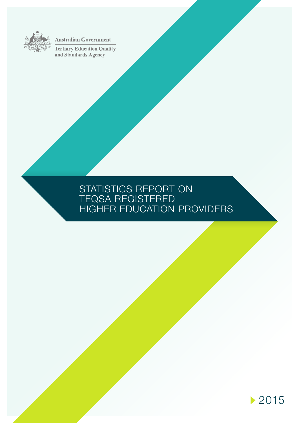

**Australian Government** 

**Tertiary Education Quality** and Standards Agency

# STATISTICS REPORT ON TEQSA REGISTERED HIGHER EDUCATION PROVIDERS

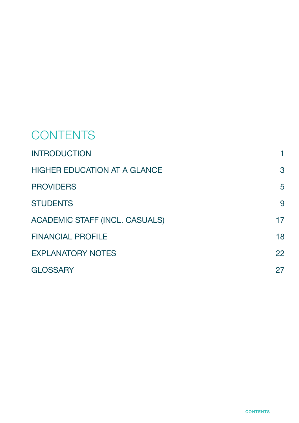# **CONTENTS**

| <b>INTRODUCTION</b>                   | 1  |
|---------------------------------------|----|
| <b>HIGHER EDUCATION AT A GLANCE</b>   | 3  |
| <b>PROVIDERS</b>                      | 5  |
| <b>STUDENTS</b>                       | 9  |
| <b>ACADEMIC STAFF (INCL. CASUALS)</b> | 17 |
| <b>FINANCIAL PROFILE</b>              | 18 |
| <b>EXPLANATORY NOTES</b>              | 22 |
| <b>GLOSSARY</b>                       | 27 |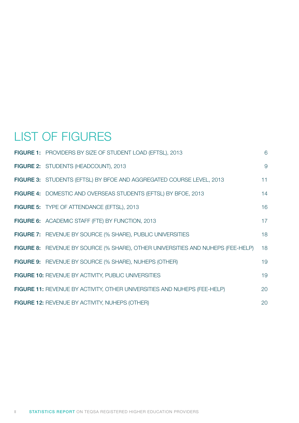# LIST OF FIGURES

| FIGURE 1: PROVIDERS BY SIZE OF STUDENT LOAD (EFTSL), 2013                       | 6  |
|---------------------------------------------------------------------------------|----|
| FIGURE 2: STUDENTS (HEADCOUNT), 2013                                            | 9  |
| FIGURE 3: STUDENTS (EFTSL) BY BFOE AND AGGREGATED COURSE LEVEL, 2013            | 11 |
| FIGURE 4: DOMESTIC AND OVERSEAS STUDENTS (EFTSL) BY BFOE, 2013                  | 14 |
| <b>FIGURE 5: TYPE OF ATTENDANCE (EFTSL), 2013</b>                               | 16 |
| FIGURE 6: ACADEMIC STAFF (FTE) BY FUNCTION, 2013                                | 17 |
| <b>FIGURE 7:</b> REVENUE BY SOURCE (% SHARE), PUBLIC UNIVERSITIES               | 18 |
| FIGURE 8: REVENUE BY SOURCE (% SHARE), OTHER UNIVERSITIES AND NUHEPS (FEE-HELP) | 18 |
| <b>FIGURE 9:</b> REVENUE BY SOURCE (% SHARE), NUHEPS (OTHER)                    | 19 |
| FIGURE 10: REVENUE BY ACTIVITY, PUBLIC UNIVERSITIES                             | 19 |
| FIGURE 11: REVENUE BY ACTIVITY, OTHER UNIVERSITIES AND NUHEPS (FEE-HELP)        | 20 |
| <b>FIGURE 12: REVENUE BY ACTIVITY, NUHEPS (OTHER)</b>                           | 20 |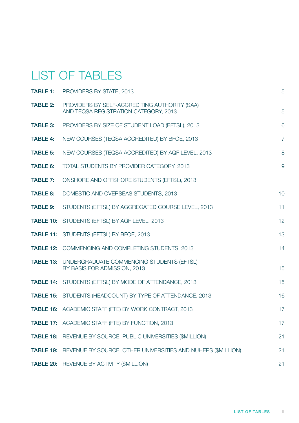# LIST OF TABLES

| <b>TABLE 1:</b> | PROVIDERS BY STATE, 2013                                                                   | 5              |
|-----------------|--------------------------------------------------------------------------------------------|----------------|
| <b>TABLE 2:</b> | PROVIDERS BY SELF-ACCREDITING AUTHORITY (SAA)<br>AND TEQSA REGISTRATION CATEGORY, 2013     | 5              |
| <b>TABLE 3:</b> | PROVIDERS BY SIZE OF STUDENT LOAD (EFTSL), 2013                                            | 6              |
| <b>TABLE 4:</b> | NEW COURSES (TEQSA ACCREDITED) BY BFOE, 2013                                               | $\overline{7}$ |
| <b>TABLE 5:</b> | NEW COURSES (TEQSA ACCREDITED) BY AQF LEVEL, 2013                                          | 8              |
| <b>TABLE 6:</b> | TOTAL STUDENTS BY PROVIDER CATEGORY, 2013                                                  | $\overline{9}$ |
| <b>TABLE 7:</b> | ONSHORE AND OFFSHORE STUDENTS (EFTSL), 2013                                                |                |
| <b>TABLE 8:</b> | DOMESTIC AND OVERSEAS STUDENTS, 2013                                                       | 10             |
| <b>TABLE 9:</b> | STUDENTS (EFTSL) BY AGGREGATED COURSE LEVEL, 2013                                          | 11             |
|                 | TABLE 10: STUDENTS (EFTSL) BY AQF LEVEL, 2013                                              | 12             |
|                 | <b>TABLE 11: STUDENTS (EFTSL) BY BFOE, 2013</b>                                            | 13             |
|                 | <b>TABLE 12: COMMENCING AND COMPLETING STUDENTS, 2013</b>                                  | 14             |
|                 | <b>TABLE 13: UNDERGRADUATE COMMENCING STUDENTS (EFTSL)</b><br>BY BASIS FOR ADMISSION, 2013 | 15             |
|                 | <b>TABLE 14: STUDENTS (EFTSL) BY MODE OF ATTENDANCE, 2013</b>                              | 15             |
|                 | <b>TABLE 15: STUDENTS (HEADCOUNT) BY TYPE OF ATTENDANCE, 2013</b>                          | 16             |
|                 | <b>TABLE 16:</b> ACADEMIC STAFF (FTE) BY WORK CONTRACT, 2013                               | 17             |
|                 | TABLE 17: ACADEMIC STAFF (FTE) BY FUNCTION, 2013                                           | 17             |
|                 | TABLE 18: REVENUE BY SOURCE, PUBLIC UNIVERSITIES (\$MILLION)                               | 21             |
|                 | <b>TABLE 19:</b> REVENUE BY SOURCE, OTHER UNIVERSITIES AND NUHEPS (\$MILLION)              | 21             |
|                 | TABLE 20: REVENUE BY ACTIVITY (\$MILLION)                                                  | 21             |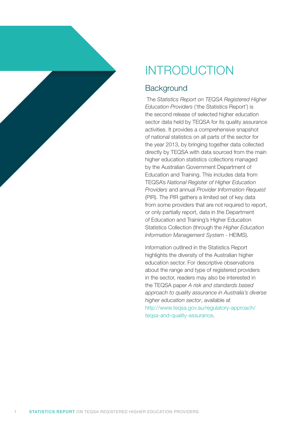<span id="page-5-0"></span>

# INTRODUCTION

# **Background**

 The *Statistics Report on TEQSA Registered Higher Education Providers* ('the Statistics Report') is the second release of selected higher education sector data held by TEQSA for its quality assurance activities. It provides a comprehensive snapshot of national statistics on all parts of the sector for the year 2013, by bringing together data collected directly by TEQSA with data sourced from the main higher education statistics collections managed by the Australian Government Department of Education and Training. This includes data from TEQSA's *National Register of Higher Education Providers* and annual *Provider Information Request* (PIR). The PIR gathers a limited set of key data from some providers that are not required to report, or only partially report, data in the Department of Education and Training's Higher Education Statistics Collection (through the *Higher Education Information Management System* - HEIMS).

Information outlined in the Statistics Report highlights the diversity of the Australian higher education sector. For descriptive observations about the range and type of registered providers in the sector, readers may also be interested in the TEQSA paper *A risk and standards based approach to quality assurance in Australia's diverse higher education sector*, available at [http://www.teqsa.gov.au/regulatory-approach/](http://www.teqsa.gov.au/regulatory-approach/teqsa-and-quality-assurance) teqsa-and-quality-assurance.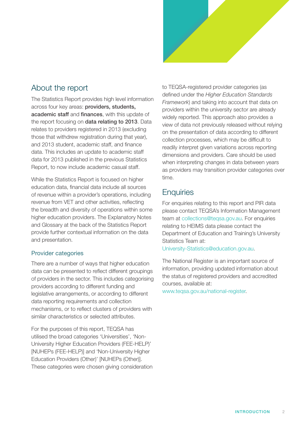

# About the report

The Statistics Report provides high level information across four key areas: providers, students, academic staff and finances, with this update of the report focusing on **data relating to 2013**. Data relates to providers registered in 2013 (excluding those that withdrew registration during that year), and 2013 student, academic staff, and finance data. This includes an update to academic staff data for 2013 published in the previous Statistics Report, to now include academic casual staff.

While the Statistics Report is focused on higher education data, financial data include all sources of revenue within a provider's operations, including revenue from VET and other activities, reflecting the breadth and diversity of operations within some higher education providers. The Explanatory Notes and Glossary at the back of the Statistics Report provide further contextual information on the data and presentation.

### Provider categories

There are a number of ways that higher education data can be presented to reflect different groupings of providers in the sector. This includes categorising providers according to different funding and legislative arrangements, or according to different data reporting requirements and collection mechanisms, or to reflect clusters of providers with similar characteristics or selected attributes.

For the purposes of this report, TEQSA has utilised the broad categories 'Universities', 'Non-University Higher Education Providers (FEE-HELP)' [NUHEPs (FEE-HELP)] and 'Non-University Higher Education Providers (Other)' [NUHEPs (Other)]. These categories were chosen giving consideration to TEQSA-registered provider categories (as defined under the *Higher Education Standards Framework*) and taking into account that data on providers within the university sector are already widely reported. This approach also provides a view of data not previously released without relying on the presentation of data according to different collection processes, which may be difficult to readily interpret given variations across reporting dimensions and providers. Care should be used when interpreting changes in data between years as providers may transition provider categories over time.

# **Enquiries**

For enquiries relating to this report and PIR data please contact TEQSA's Information Management team at [collections@teqsa.gov.au](mailto:collections@teqsa.gov.au). For enquiries relating to HEIMS data please contact the Department of Education and Training's University Statistics Team at:

University-Statistics@education.gov.au.

The National Register is an important source of information, providing updated information about the status of registered providers and accredited courses, available at:

[www.teqsa.gov.au/national-register.](http://www.teqsa.gov.au/national-register)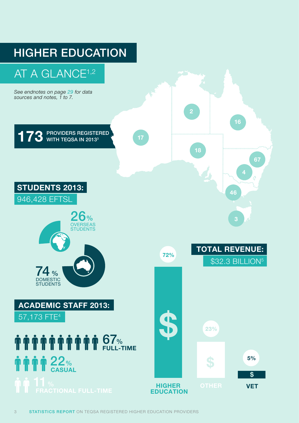

#### 3 **STATISTICS REPORT** ON TEQSA REGISTERED HIGHER EDUCATION PROVIDERS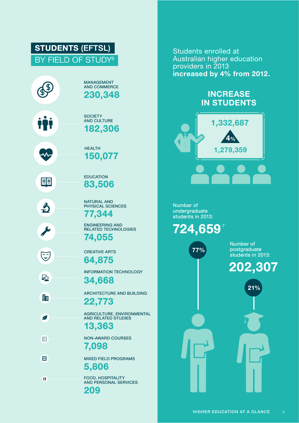### STUDENTS (EFTSL) BY FIELD OF STUDY<sup>6</sup> MANAGEMENT AND COMMERCE 230,348 **SOCIETY** AND CULTURE 182,306 **HEALTH** 150,077 EDUCATION EE 83,506 NATURAL AND  $\frac{1}{2}$ PHYSICAL SCIENCES 77,344 ENGINEERING AND RELATED TECHNOLOGIES 74,055 CREATIVE ARTS  $\widetilde{\mathbb{C}}$ 64,875 INFORMATION TECHNOLOGY 亞 34,668 ARCHITECTURE AND BUILDING 駎 22,773 AGRICULTURE, ENVIRONMENTAL  $\overline{\mathscr{L}}$ AND RELATED STUDIES 13,363 NON-AWARD COURSES 岡 7,098 囲 MIXED FIELD PROGRAMS 5,806 FOOD, HOSPITALITY T AND PERSONAL SERVICES

209

Students enrolled at Australian higher education providers in 2013 increased by 4% from 2012.

# **INCREASE** IN STUDENTS



Number of undergraduate students in 2013:



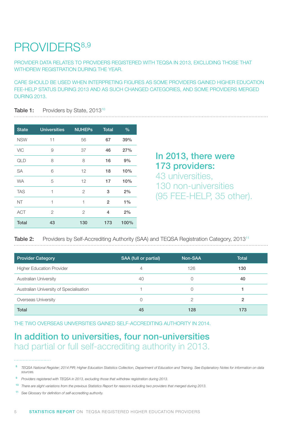# <span id="page-9-0"></span>PROVIDERS<sup>8,9</sup>

PROVIDER DATA RELATES TO PROVIDERS REGISTERED WITH TEQSA IN 2013, EXCLUDING THOSE THAT WITHDREW REGISTRATION DURING THE YEAR.

CARE SHOULD BE USED WHEN INTERPRETING FIGURES AS SOME PROVIDERS GAINED HIGHER EDUCATION FEE-HELP STATUS DURING 2013 AND AS SUCH CHANGED CATEGORIES, AND SOME PROVIDERS MERGED DURING 2013.

#### Table 1: Providers by State, 2013<sup>10</sup>

| <b>State</b> | <b>Universities</b> | <b>NUHEPS</b>  | <b>Total</b>   | $\%$  |
|--------------|---------------------|----------------|----------------|-------|
| <b>NSW</b>   | 11                  | 56             | 67             | 39%   |
| <b>VIC</b>   | 9                   | 37             | 46             | 27%   |
| QLD          | 8                   | 8              | 16             | 9%    |
| <b>SA</b>    | 6                   | 12             | 18             | 10%   |
| <b>WA</b>    | 5                   | 12             | 17             | 10%   |
| <b>TAS</b>   | 1                   | $\overline{2}$ | 3              | 2%    |
| NT           | 1                   | 1              | $\overline{2}$ | $1\%$ |
| <b>ACT</b>   | 2                   | 2              | 4              | 2%    |
| <b>Total</b> | 43                  | 130            | 173            | 100%  |

# In 2013, there were 173 providers:

43 universities, 130 non-universities (95 FEE-HELP, 35 other).

### Table 2: Providers by Self-Accrediting Authority (SAA) and TEQSA Registration Category, 2013<sup>11</sup>

| <b>Provider Category</b>                | SAA (full or partial) | Non-SAA | Total |
|-----------------------------------------|-----------------------|---------|-------|
| <b>Higher Education Provider</b>        | 4                     | 126     | 130   |
| <b>Australian University</b>            | 40                    |         | 40    |
| Australian University of Specialisation |                       |         |       |
| Overseas University                     |                       | 2       | 2     |
| Total                                   | 45                    | 128     | 173   |

THE TWO OVERSEAS UNIVERSITIES GAINED SELF-ACCREDITING AUTHORITY IN 2014.

# In addition to universities, four non-universities had partial or full self-accrediting authority in 2013.

<sup>8</sup> *TEQSA National Register; 2014 PIR; Higher Education Statistics Collection, Department of Education and Training. See Explanatory Notes for information on data sources.*

<sup>9</sup> *Providers registered with TEQSA in 2013, excluding those that withdrew registration during 2013.*

<sup>10</sup> *There are slight variations from the previous Statistics Report for reasons including two providers that merged during 2013.*

<sup>11</sup> *See Glossary for definition of self-accrediting authority.*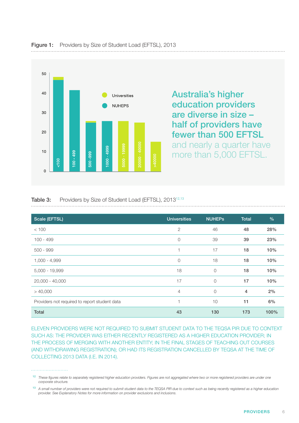

<span id="page-10-0"></span>

#### Table 3: Providers by Size of Student Load (EFTSL), 2013<sup>12,13</sup>

| Scale (EFTSL)                                 | <b>Universities</b> | <b>NUHEPS</b> | <b>Total</b>   | $\%$ |
|-----------------------------------------------|---------------------|---------------|----------------|------|
| < 100                                         | $\mathbf{2}$        | 46            | 48             | 28%  |
| $100 - 499$                                   | $\circ$             | 39            | 39             | 23%  |
| $500 - 999$                                   | 1                   | 17            | 18             | 10%  |
| $1,000 - 4,999$                               | $\overline{0}$      | 18            | 18             | 10%  |
| 5,000 - 19,999                                | 18                  | 0             | 18             | 10%  |
| 20,000 - 40,000                               | 17                  | 0             | 17             | 10%  |
| > 40,000                                      | $\overline{4}$      | 0             | $\overline{4}$ | 2%   |
| Providers not required to report student data | 1                   | 10            | 11             | 6%   |
| <b>Total</b>                                  | 43                  | 130           | 173            | 100% |

ELEVEN PROVIDERS WERE NOT REQUIRED TO SUBMIT STUDENT DATA TO THE TEQSA PIR DUE TO CONTEXT SUCH AS: THE PROVIDER WAS EITHER RECENTLY REGISTERED AS A HIGHER EDUCATION PROVIDER; IN THE PROCESS OF MERGING WITH ANOTHER ENTITY; IN THE FINAL STAGES OF TEACHING OUT COURSES (AND WITHDRAWING REGISTRATION); OR HAD ITS REGISTRATION CANCELLED BY TEQSA AT THE TIME OF COLLECTING 2013 DATA (I.E. IN 2014).

#### 

<sup>12</sup> *These figures relate to separately registered higher education providers. Figures are not aggregated where two or more registered providers are under one corporate structure.*

<sup>13</sup> *A small number of providers were not required to submit student data to the TEQSA PIR due to context such as being recently registered as a higher education provider. See Explanatory Notes for more information on provider exclusions and inclusions.*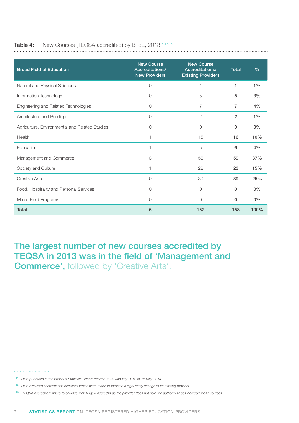# <span id="page-11-0"></span>Table 4: New Courses (TEQSA accredited) by BFoE, 201314,15,16

| <b>Broad Field of Education</b>                | <b>New Course</b><br>Accreditations/<br><b>New Providers</b> | <b>New Course</b><br>Accreditations/<br><b>Existing Providers</b> | Total          | $\frac{0}{0}$ |
|------------------------------------------------|--------------------------------------------------------------|-------------------------------------------------------------------|----------------|---------------|
| Natural and Physical Sciences                  | $\circ$                                                      |                                                                   | 1              | $1\%$         |
| Information Technology                         | 0                                                            | 5                                                                 | 5              | 3%            |
| Engineering and Related Technologies           | 0                                                            | 7                                                                 | 7              | 4%            |
| Architecture and Building                      | 0                                                            | $\overline{2}$                                                    | $\overline{2}$ | $1\%$         |
| Agriculture, Environmental and Related Studies | 0                                                            | 0                                                                 | 0              | 0%            |
| Health                                         | 1                                                            | 15                                                                | 16             | 10%           |
| Education                                      | 1                                                            | 5                                                                 | 6              | 4%            |
| Management and Commerce                        | 3                                                            | 56                                                                | 59             | 37%           |
| Society and Culture                            | 1                                                            | 22                                                                | 23             | 15%           |
| <b>Creative Arts</b>                           | 0                                                            | 39                                                                | 39             | 25%           |
| Food, Hospitality and Personal Services        | 0                                                            | $\Omega$                                                          | $\mathbf{0}$   | 0%            |
| Mixed Field Programs                           | 0                                                            | $\Omega$                                                          | 0              | 0%            |
| <b>Total</b>                                   | 6                                                            | 152                                                               | 158            | 100%          |

The largest number of new courses accredited by TEQSA in 2013 was in the field of 'Management and **Commerce', followed by 'Creative Arts'.** 

#### . . . . . . . . . . . . . . . . . . . .

- <sup>14</sup> *Data published in the previous Statistics Report referred to 29 January 2012 to 16 May 2014.*
- <sup>15</sup> *Data excludes accreditation decisions which were made to facilitate a legal entity change of an existing provider.*
- <sup>16</sup> *'TEQSA accredited' refers to courses that TEQSA accredits as the provider does not hold the authority to self-accredit those courses.*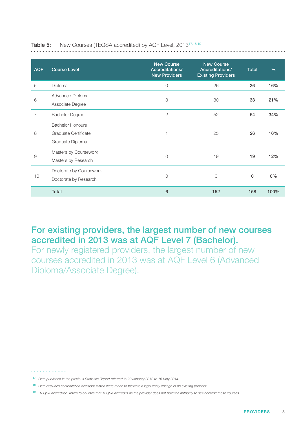| <b>AQF</b> | <b>Course Level</b>                                                 | <b>New Course</b><br>Accreditations/<br><b>New Providers</b> | <b>New Course</b><br>Accreditations/<br><b>Existing Providers</b> | <b>Total</b> | $\frac{9}{6}$ |
|------------|---------------------------------------------------------------------|--------------------------------------------------------------|-------------------------------------------------------------------|--------------|---------------|
| 5          | Diploma                                                             | $\circ$                                                      | 26                                                                | 26           | 16%           |
| 6          | Advanced Diploma<br>Associate Degree                                | 3                                                            | 30                                                                | 33           | 21%           |
| 7          | <b>Bachelor Degree</b>                                              | $\mathbf{2}$                                                 | 52                                                                | 54           | 34%           |
| 8          | <b>Bachelor Honours</b><br>Graduate Certificate<br>Graduate Diploma |                                                              | 25                                                                | 26           | 16%           |
| 9          | Masters by Coursework<br>Masters by Research                        | $\circ$                                                      | 19                                                                | 19           | 12%           |
| 10         | Doctorate by Coursework<br>Doctorate by Research                    | $\circ$                                                      | $\circ$                                                           | 0            | $0\%$         |
|            | <b>Total</b>                                                        | 6                                                            | 152                                                               | 158          | 100%          |

#### <span id="page-12-0"></span>Table 5: New Courses (TEQSA accredited) by AQF Level, 2013<sup>17,18,19</sup> . . . . . . . . . . . . . . . .

# For existing providers, the largest number of new courses accredited in 2013 was at AQF Level 7 (Bachelor).

For newly registered providers, the largest number of new courses accredited in 2013 was at AQF Level 6 (Advanced Diploma/Associate Degree).

#### 

<sup>17</sup> *Data published in the previous Statistics Report referred to 29 January 2012 to 16 May 2014.*

<sup>18</sup> *Data excludes accreditation decisions which were made to facilitate a legal entity change of an existing provider.*

<sup>19</sup> *'TEQSA accredited' refers to courses that TEQSA accredits as the provider does not hold the authority to self-accredit those courses.*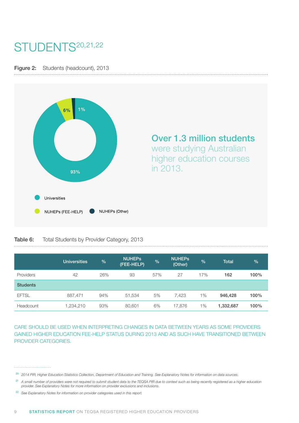# <span id="page-13-0"></span>STUDENTS<sup>20,21,22</sup>

Figure 2: Students (headcount), 2013



Over 1.3 million students

were studying Australian higher education courses in 2013.

### Table 6: Total Students by Provider Category, 2013

|                 | <b>Universities</b> | $\frac{9}{6}$ | <b>NUHEPS</b><br>(FEE-HELP) | %   | <b>NUHEPS</b><br>(Other) | $\frac{9}{6}$ | <b>Total</b> | $\frac{9}{6}$ |
|-----------------|---------------------|---------------|-----------------------------|-----|--------------------------|---------------|--------------|---------------|
| Providers       | 42                  | 26%           | 93                          | 57% | 27                       | 17%           | 162          | 100%          |
| <b>Students</b> |                     |               |                             |     |                          |               |              |               |
| <b>EFTSL</b>    | 887,471             | 94%           | 51,534                      | 5%  | 7.423                    | $1\%$         | 946,428      | 100%          |
| Headcount       | 1,234,210           | 93%           | 80,601                      | 6%  | 17,876                   | 1%            | 1,332,687    | 100%          |

CARE SHOULD BE USED WHEN INTERPRETING CHANGES IN DATA BETWEEN YEARS AS SOME PROVIDERS GAINED HIGHER EDUCATION FEE-HELP STATUS DURING 2013 AND AS SUCH HAVE TRANSITIONED BETWEEN PROVIDER CATEGORIES.

- <sup>21</sup> A small number of providers were not required to submit student data to the TEQSA PIR due to context such as being recently registered as a higher education *provider. See Explanatory Notes for more information on provider exclusions and inclusions.*
- <sup>22</sup> *See Explanatory Notes for information on provider categories used in this report.*

<sup>20</sup> *2014 PIR; Higher Education Statistics Collection, Department of Education and Training. See Explanatory Notes for information on data sources.*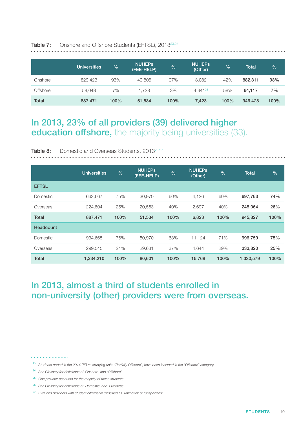|                 | Universities | $\%$ | <b>NUHEPS</b><br>(FEE-HELP) | $\frac{9}{6}$ | <b>NUHEPS</b><br>(Other) | %    | <b>Total</b> | $\sqrt{6}$ |
|-----------------|--------------|------|-----------------------------|---------------|--------------------------|------|--------------|------------|
| Onshore         | 829,423      | 93%  | 49,806                      | 97%           | 3,082                    | 42%  | 882,311      | 93%        |
| <b>Offshore</b> | 58.048       | 7%   | 1.728                       | 3%            | $4.341^{25}$             | 58%  | 64.117       | 7%         |
| <b>Total</b>    | 887,471      | 100% | 51,534                      | 100%          | 7,423                    | 100% | 946,428      | 100%       |

#### <span id="page-14-0"></span>Table 7: Onshore and Offshore Students (EFTSL), 2013<sup>23,24</sup>

# In 2013, 23% of all providers (39) delivered higher education offshore, the majority being universities (33).

Table 8: Domestic and Overseas Students, 2013<sup>26,27</sup>

|              | <b>Universities</b> | $\frac{9}{6}$ | <b>NUHEPS</b><br>(FEE-HELP) | $\frac{0}{0}$ | <b>NUHEPS</b><br>(Other) | $\frac{0}{0}$ | <b>Total</b> | $\frac{9}{6}$ |
|--------------|---------------------|---------------|-----------------------------|---------------|--------------------------|---------------|--------------|---------------|
| <b>EFTSL</b> |                     |               |                             |               |                          |               |              |               |
| Domestic     | 662,667             | 75%           | 30,970                      | 60%           | 4,126                    | 60%           | 697,763      | 74%           |
| Overseas     | 224,804             | 25%           | 20,563                      | 40%           | 2,697                    | 40%           | 248,064      | 26%           |
| <b>Total</b> | 887,471             | 100%          | 51,534                      | 100%          | 6,823                    | 100%          | 945,827      | 100%          |
| Headcount    |                     |               |                             |               |                          |               |              |               |
| Domestic     | 934.665             | 76%           | 50,970                      | 63%           | 11,124                   | 71%           | 996,759      | 75%           |
| Overseas     | 299.545             | 24%           | 29,631                      | 37%           | 4,644                    | 29%           | 333,820      | 25%           |
| <b>Total</b> | 1,234,210           | 100%          | 80,601                      | 100%          | 15,768                   | 100%          | 1,330,579    | 100%          |

# In 2013, almost a third of students enrolled in non-university (other) providers were from overseas.

- <sup>23</sup> *Students coded in the 2014 PIR as studying units "Partially Offshore", have been included in the "Offshore" category.*
- <sup>24</sup> *See Glossary for definitions of 'Onshore' and 'Offshore'.*
- <sup>25</sup> *One provider accounts for the majority of these students.*
- <sup>26</sup> *See Glossary for definitions of 'Domestic' and 'Overseas'.*
- <sup>27</sup> *Excludes providers with student citizenship classified as 'unknown' or 'unspecified'.*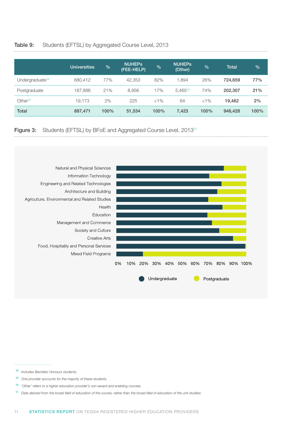#### <span id="page-15-0"></span>Table 9: Students (EFTSL) by Aggregated Course Level, 2013

|                             | <b>Universities</b> | $\%$ | <b>NUHEPS</b><br>(FEE-HELP) | $\frac{0}{0}$ | <b>NUHEPS</b><br>(Other) | $\frac{1}{2}$ | <b>Total</b> | $\frac{1}{2}$ |
|-----------------------------|---------------------|------|-----------------------------|---------------|--------------------------|---------------|--------------|---------------|
| Undergraduate <sup>28</sup> | 680,412             | 77%  | 42.353                      | 82%           | 1.894                    | 26%           | 724,659      | 77%           |
| Postgraduate                | 187,886             | 21%  | 8,956                       | 17%           | $5.465^{29}$             | 74%           | 202,307      | 21%           |
| Other <sup>30</sup>         | 19.173              | 2%   | 225                         | $< 1\%$       | 64                       | $< 1\%$       | 19.462       | 2%            |
| <b>Total</b>                | 887,471             | 100% | 51,534                      | 100%          | 7,423                    | 100%          | 946,428      | 100%          |

#### Figure 3: Students (EFTSL) by BFoE and Aggregated Course Level, 2013<sup>31</sup>



#### 

- <sup>28</sup> *Includes Bachelor Honours students.*
- <sup>29</sup> *One provider accounts for the majority of these students.*
- <sup>30</sup> *'Other' refers to a higher education provider's non-award and enabling courses.*
- <sup>31</sup> *Data derived from the broad field of education of the course, rather than the broad field of education of the unit studied.*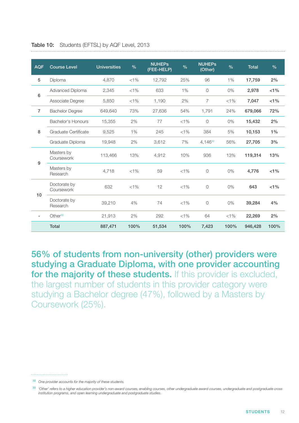| <b>AQF</b>       | <b>Course Level</b>        | <b>Universities</b> | $\frac{9}{6}$ | <b>NUHEPs</b><br>(FEE-HELP) | $\frac{9}{6}$ | <b>NUHEPs</b><br>(Other) | $\frac{9}{6}$ | <b>Total</b> | $\frac{9}{6}$ |
|------------------|----------------------------|---------------------|---------------|-----------------------------|---------------|--------------------------|---------------|--------------|---------------|
| 5                | Diploma                    | 4.870               | $< 1\%$       | 12,792                      | 25%           | 96                       | 1%            | 17,759       | 2%            |
| $\,6\,$          | Advanced Diploma           | 2,345               | $< 1\%$       | 633                         | 1%            | $\overline{O}$           | 0%            | 2,978        | $< 1\%$       |
|                  | Associate Degree           | 5,850               | $< 1\%$       | 1,190                       | 2%            | 7                        | $< 1\%$       | 7,047        | $< 1\%$       |
| $\overline{7}$   | <b>Bachelor Degree</b>     | 649,640             | 73%           | 27,636                      | 54%           | 1,791                    | 24%           | 679,066      | 72%           |
|                  | Bachelor's Honours         | 15,355              | 2%            | 77                          | $< 1\%$       | $\overline{O}$           | 0%            | 15,432       | 2%            |
| 8                | Graduate Certificate       | 9,525               | 1%            | 245                         | $< 1\%$       | 384                      | 5%            | 10,153       | $1\%$         |
|                  | Graduate Diploma           | 19,948              | 2%            | 3,612                       | 7%            | 4,14632                  | 56%           | 27,705       | 3%            |
| $\boldsymbol{9}$ | Masters by<br>Coursework   | 113,466             | 13%           | 4,912                       | 10%           | 936                      | 13%           | 119,314      | 13%           |
|                  | Masters by<br>Research     | 4,718               | $< 1\%$       | 59                          | $< 1\%$       | $\circ$                  | 0%            | 4,776        | $< 1\%$       |
| 10               | Doctorate by<br>Coursework | 632                 | $< 1\%$       | 12                          | $< 1\%$       | $\circ$                  | 0%            | 643          | $< 1\%$       |
|                  | Doctorate by<br>Research   | 39,210              | 4%            | 74                          | $< 1\%$       | $\circledcirc$           | 0%            | 39,284       | 4%            |
| ٠.               | Other $33$                 | 21,913              | 2%            | 292                         | $< 1\%$       | 64                       | $< 1\%$       | 22,269       | 2%            |
|                  | <b>Total</b>               | 887,471             | 100%          | 51,534                      | 100%          | 7,423                    | 100%          | 946,428      | 100%          |

<span id="page-16-0"></span>Table 10: Students (EFTSL) by AQF Level, 2013

56% of students from non-university (other) providers were studying a Graduate Diploma, with one provider accounting for the majority of these students. If this provider is excluded, the largest number of students in this provider category were studying a Bachelor degree (47%), followed by a Masters by Coursework (25%).

<sup>32</sup> *One provider accounts for the majority of these students.*

<sup>33</sup> *'Other' refers to a higher education provider's non-award courses, enabling courses, other undergraduate award courses, undergraduate and postgraduate cross institution programs, and open learning undergraduate and postgraduate studies.*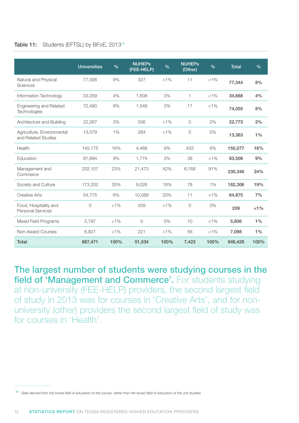#### <span id="page-17-0"></span>Table 11: Students (EFTSL) by BFoE, 2013<sup>34</sup>

|                                                   | <b>Universities</b> | $\frac{9}{6}$ | <b>NUHEPs</b><br>(FEE-HELP) | $\frac{9}{6}$ | <b>NUHEPS</b><br>(Other) | $\frac{9}{6}$ | <b>Total</b> | $\frac{9}{6}$ |
|---------------------------------------------------|---------------------|---------------|-----------------------------|---------------|--------------------------|---------------|--------------|---------------|
| Natural and Physical<br>Sciences                  | 77,006              | 9%            | 327                         | $< 1\%$       | 11                       | $< 1\%$       | 77,344       | 8%            |
| Information Technology                            | 33,059              | 4%            | 1,608                       | 3%            | 1                        | $< 1\%$       | 34,668       | 4%            |
| <b>Engineering and Related</b><br>Technologies    | 72,490              | 8%            | 1,548                       | 3%            | 17                       | $< 1\%$       | 74,055       | 8%            |
| Architecture and Building                         | 22,267              | 3%            | 506                         | $< 1\%$       | 0                        | $0\%$         | 22,773       | 2%            |
| Agriculture, Environmental<br>and Related Studies | 13,079              | $1\%$         | 284                         | $< 1\%$       | 0                        | 0%            | 13,363       | $1\%$         |
| Health                                            | 145,175             | 16%           | 4,468                       | 9%            | 433                      | 6%            | 150,077      | 16%           |
| Education                                         | 81,694              | 9%            | 1,774                       | 3%            | 38                       | $< 1\%$       | 83,506       | 9%            |
| Management and<br>Commerce                        | 202,107             | 23%           | 21,473                      | 42%           | 6,768                    | 91%           | 230,348      | 24%           |
| Society and Culture                               | 173,202             | 20%           | 9,026                       | 18%           | 78                       | $1\%$         | 182,306      | 19%           |
| <b>Creative Arts</b>                              | 54,775              | 6%            | 10,089                      | 20%           | 11                       | $< 1\%$       | 64,875       | 7%            |
| Food, Hospitality and<br><b>Personal Services</b> | $\circ$             | $< 1\%$       | 209                         | $< 1\%$       | $\overline{O}$           | 0%            | 209          | $< 1\%$       |
| Mixed Field Programs                              | 5.797               | $< 1\%$       | $\Omega$                    | 0%            | 10                       | $< 1\%$       | 5,806        | $1\%$         |
| Non-Award Courses                                 | 6,821               | $< 1\%$       | 221                         | $< 1\%$       | 56                       | $< 1\%$       | 7,098        | $1\%$         |
| <b>Total</b>                                      | 887,471             | 100%          | 51,534                      | 100%          | 7,423                    | 100%          | 946,428      | 100%          |

The largest number of students were studying courses in the field of 'Management and Commerce'. For students studying at non-university (FEE-HELP) providers, the second largest field of study in 2013 was for courses in 'Creative Arts', and for nonuniversity (other) providers the second largest field of study was for courses in 'Health'.

<sup>34</sup> *Data derived from the broad field of education of the course, rather than the broad field of education of the unit studied.*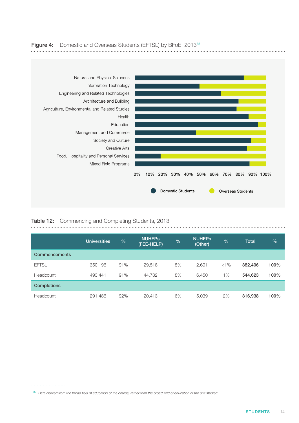<span id="page-18-0"></span>



#### Table 12: Commencing and Completing Students, 2013

|                      | <b>Universities</b> | %   | <b>NUHEPS</b><br>(FEE-HELP) | $\frac{9}{6}$ | <b>NUHEPS</b><br>(Other) | $\frac{1}{2}$ | <b>Total</b> | $\frac{0}{0}$ |
|----------------------|---------------------|-----|-----------------------------|---------------|--------------------------|---------------|--------------|---------------|
| <b>Commencements</b> |                     |     |                             |               |                          |               |              |               |
| <b>EFTSL</b>         | 350,196             | 91% | 29,518                      | 8%            | 2,691                    | $< 1\%$       | 382,406      | 100%          |
| Headcount            | 493,441             | 91% | 44,732                      | 8%            | 6,450                    | 1%            | 544,623      | 100%          |
| <b>Completions</b>   |                     |     |                             |               |                          |               |              |               |
| Headcount            | 291,486             | 92% | 20,413                      | 6%            | 5,039                    | 2%            | 316,938      | 100%          |

<sup>35</sup> *Data derived from the broad field of education of the course, rather than the broad field of education of the unit studied.*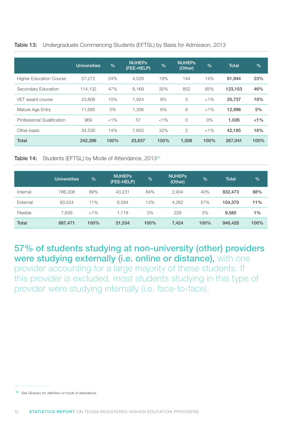|                                | <b>Universities</b> | $\frac{0}{0}$ | <b>NUHEPS</b><br>(FEE-HELP) | %       | <b>NUHEPS</b><br>(Other) | $\frac{0}{0}$ | <b>Total</b> | $\frac{0}{0}$ |
|--------------------------------|---------------------|---------------|-----------------------------|---------|--------------------------|---------------|--------------|---------------|
| <b>Higher Education Course</b> | 57.272              | 24%           | 4.528                       | 19%     | 144                      | 14%           | 61,944       | 23%           |
| Secondary Education            | 114,132             | 47%           | 8.169                       | 35%     | 852                      | 85%           | 123,153      | 46%           |
| VET award course               | 23,808              | 10%           | 1,924                       | 8%      | 5                        | $< 1\%$       | 25,737       | 10%           |
| Mature Age Entry               | 11,685              | 5%            | 1.306                       | 6%      | 6                        | $< 1\%$       | 12,996       | 5%            |
| Professional Qualification     | 969                 | $< 1\%$       | 57                          | $< 1\%$ | $\overline{0}$           | $0\%$         | 1,026        | $< 1\%$       |
| Other basis                    | 34.530              | 14%           | 7.653                       | 32%     | 2                        | $< 1\%$       | 42.185       | 16%           |
| <b>Total</b>                   | 242,396             | 100%          | 23,637                      | 100%    | 1,008                    | 100%          | 267,041      | 100%          |

#### <span id="page-19-0"></span>Table 13: Undergraduate Commencing Students (EFTSL) by Basis for Admission, 2013

Table 14: Students (EFTSL) by Mode of Attendance, 2013<sup>36</sup>

|              | <b>Universities</b> | %       | <b>NUHEPS</b><br>(FEE-HELP) | $\frac{9}{6}$ | <b>NUHEPS</b><br>(Other) | $\frac{1}{2}$ | <b>Total</b> | $\frac{9}{6}$ |
|--------------|---------------------|---------|-----------------------------|---------------|--------------------------|---------------|--------------|---------------|
| Internal     | 786,308             | 89%     | 43,231                      | 84%           | 2,934                    | 40%           | 832,473      | 88%           |
| External     | 93,524              | 11%     | 6,584                       | 13%           | 4,262                    | 57%           | 104,370      | 11%           |
| Flexible     | 7,639               | $< 1\%$ | 1.718                       | 3%            | 228                      | 3%            | 9,585        | $1\%$         |
| <b>Total</b> | 887,471             | 100%    | 51,534                      | 100%          | 7,424                    | 100%          | 946,428      | 100%          |

57% of students studying at non-university (other) providers were studying externally (i.e. online or distance), with one

provider accounting for a large majority of these students. If this provider is excluded, most students studying in this type of provider were studying internally (i.e. face-to-face).

- 
- <sup>36</sup> *See Glossary for definition of mode of attendance.*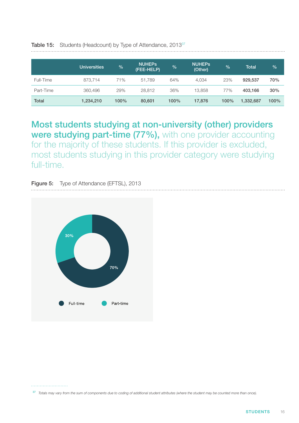|           | <b>Universities</b> | $\frac{9}{6}$ | <b>NUHEPS</b><br>(FEE-HELP) | %    | <b>NUHEPS</b><br>(Other) | $\frac{0}{0}$ | <b>Total</b> | $\frac{1}{2}$ |
|-----------|---------------------|---------------|-----------------------------|------|--------------------------|---------------|--------------|---------------|
| Full-Time | 873.714             | 71%           | 51.789                      | 64%  | 4,034                    | 23%           | 929.537      | 70%           |
| Part-Time | 360,496             | 29%           | 28.812                      | 36%  | 13.858                   | 77%           | 403.166      | 30%           |
| Total     | 1,234,210           | 100%          | 80,601                      | 100% | 17,876                   | 100%          | 1,332,687    | 100%          |

<span id="page-20-0"></span>Table 15: Students (Headcount) by Type of Attendance, 2013<sup>37</sup>

Most students studying at non-university (other) providers were studying part-time (77%), with one provider accounting for the majority of these students. If this provider is excluded, most students studying in this provider category were studying full-time.

Figure 5: Type of Attendance (EFTSL), 2013



<sup>37</sup> *Totals may vary from the sum of components due to coding of additional student attributes (where the student may be counted more than once).*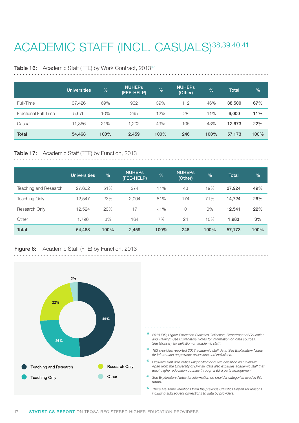# <span id="page-21-0"></span>ACADEMIC STAFF (INCL. CASUALS)<sup>38,39,40,41</sup>

#### Table 16: Academic Staff (FTE) by Work Contract, 2013<sup>42</sup>

|                      | <b>Universities</b> | $\frac{0}{0}$ | <b>NUHEPS</b><br>(FEE-HELP) | $\frac{9}{6}$ | <b>NUHEPS</b><br>(Other) | $\frac{1}{2}$ | <b>Total</b> | $\frac{1}{2}$ |
|----------------------|---------------------|---------------|-----------------------------|---------------|--------------------------|---------------|--------------|---------------|
| Full-Time            | 37,426              | 69%           | 962                         | 39%           | 112                      | 46%           | 38,500       | 67%           |
| Fractional Full-Time | 5,676               | 10%           | 295                         | 12%           | 28                       | 11%           | 6,000        | 11%           |
| Casual               | 11,366              | 21%           | 1.202                       | 49%           | 105                      | 43%           | 12,673       | 22%           |
| <b>Total</b>         | 54,468              | 100%          | 2,459                       | 100%          | 246                      | 100%          | 57,173       | 100%          |

# Table 17: Academic Staff (FTE) by Function, 2013

|                       | <b>Universities</b> | $\%$ | <b>NUHEPS</b><br>(FEE-HELP) | $\frac{9}{6}$ | <b>NUHEPS</b><br>(Other) | $\frac{9}{6}$ | <b>Total</b> | %    |
|-----------------------|---------------------|------|-----------------------------|---------------|--------------------------|---------------|--------------|------|
| Teaching and Research | 27,602              | 51%  | 274                         | 11%           | 48                       | 19%           | 27,924       | 49%  |
| <b>Teaching Only</b>  | 12.547              | 23%  | 2.004                       | 81%           | 174                      | 71%           | 14.724       | 26%  |
| Research Only         | 12,524              | 23%  | 17                          | $< 1\%$       | $\circ$                  | $0\%$         | 12,541       | 22%  |
| Other                 | 1.796               | 3%   | 164                         | 7%            | 24                       | 10%           | 1,983        | 3%   |
| <b>Total</b>          | 54,468              | 100% | 2,459                       | 100%          | 246                      | 100%          | 57,173       | 100% |

### Figure 6: Academic Staff (FTE) by Function, 2013

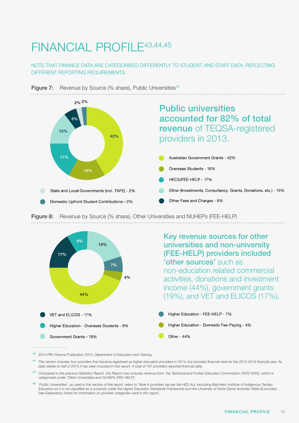# <span id="page-22-0"></span>FINANCIAL PROFILE43,44,45

### NOTE THAT FINANCE DATA ARE CATEGORISED DIFFERENTLY TO STUDENT AND STAFF DATA, REFLECTING DIFFERENT REPORTING REQUIREMENTS.









- <sup>43</sup> *2014 PIR; Finance Publication 2013, Department of Education and Training.*
- <sup>44</sup> This section includes four providers that became registered as higher education providers in 2014, but provided financial data for the 2013-2014 financial year. As *data relates to half of 2013 it has been included in this report. A total of 167 providers reported financial data.*
- <sup>45</sup> *Compared to the previous Statistics Report, this Report now includes revenue from the Technical and Further Education Commission (TAFE NSW), which is categorised under 'Other Universities and NUHEPs (FEE-HELP)'.*
- <sup>46</sup> *'Public Universities', as used in this section of the report, refers to Table A providers (as per the HES Act, excluding Batchelor Institute of Indigenous Tertiary Education as it is not classified as a university under the Higher Education Standards Framework) and the University of Notre Dame Australia (Table B provider). See Explanatory Notes for information on provider categories used in this report.*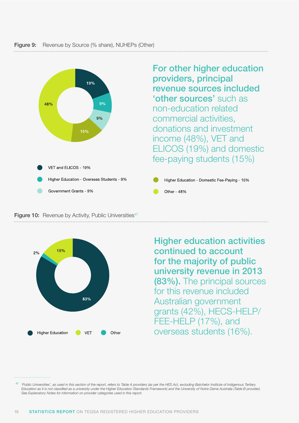### <span id="page-23-0"></span>**Figure 9:** Revenue by Source (% share), NUHEPs (Other)



For other higher education providers, principal revenue sources included 'other sources' such as non-education related commercial activities, donations and investment income (48%), VET and ELICOS (19%) and domestic fee-paying students (15%)

Higher Education - Domestic Fee-Paying - 15% Other - 48%



Higher education activities continued to account for the majority of public university revenue in 2013 (83%). The principal sources for this revenue included Australian government grants (42%), HECS-HELP/ FEE-HELP (17%), and overseas students (16%).

<sup>47</sup> *'Public Universities', as used in this section of the report, refers to Table A providers (as per the HES Act, excluding Batchelor Institute of Indigenous Tertiary Education as it is not classified as a university under the Higher Education Standards Framework) and the University of Notre Dame Australia (Table B provider). See Explanatory Notes for information on provider categories used in this report.*

**Figure 10:** Revenue by Activity, Public Universities<sup>47</sup>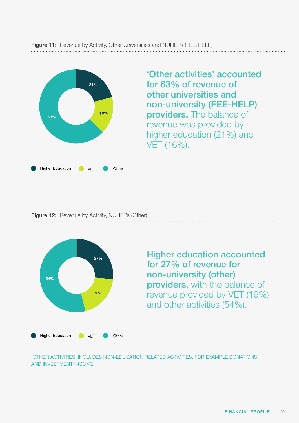<span id="page-24-0"></span>

'Other activities' accounted for 63% of revenue of other universities and non-university (FEE-HELP) providers. The balance of revenue was provided by higher education (21%) and VET (16%).

Figure 12: Revenue by Activity, NUHEPs (Other)



Higher education accounted for 27% of revenue for non-university (other) providers, with the balance of revenue provided by VET (19%) and other activities (54%).

'OTHER ACTIVITIES' INCLUDES NON-EDUCATION RELATED ACTIVITIES, FOR EXAMPLE DONATIONS AND INVESTMENT INCOME.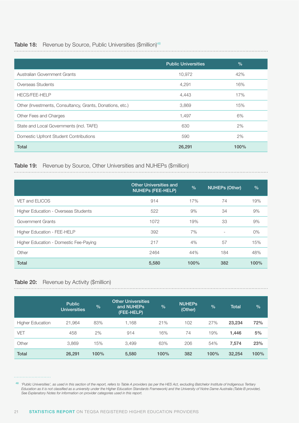#### <span id="page-25-0"></span>Table 18: Revenue by Source, Public Universities (\$million)<sup>48</sup>

|                                                           | <b>Public Universities</b> | $\frac{0}{0}$ |
|-----------------------------------------------------------|----------------------------|---------------|
| Australian Government Grants                              | 10,972                     | 42%           |
| Overseas Students                                         | 4,291                      | 16%           |
| <b>HECS/FEE-HELP</b>                                      | 4,443                      | 17%           |
| Other (Investments, Consultancy, Grants, Donations, etc.) | 3,869                      | 15%           |
| Other Fees and Charges                                    | 1,497                      | 6%            |
| State and Local Governments (incl. TAFE)                  | 630                        | 2%            |
| Domestic Upfront Student Contributions                    | 590                        | 2%            |
| <b>Total</b>                                              | 26,291                     | 100%          |

# Table 19: Revenue by Source, Other Universities and NUHEPs (\$million)

|                                        | <b>Other Universities and</b><br><b>NUHEPS (FEE-HELP)</b> | $\frac{0}{0}$ | <b>NUHEPs (Other)</b>    | $\frac{0}{0}$ |
|----------------------------------------|-----------------------------------------------------------|---------------|--------------------------|---------------|
| VET and ELICOS                         | 914                                                       | 17%           | 74                       | 19%           |
| Higher Education - Overseas Students   | 522                                                       | 9%            | 34                       | 9%            |
| Government Grants                      | 1072                                                      | 19%           | 33                       | 9%            |
| Higher Education - FEE-HELP            | 392                                                       | 7%            | $\overline{\phantom{a}}$ | 0%            |
| Higher Education - Domestic Fee-Paying | 217                                                       | 4%            | 57                       | 15%           |
| Other                                  | 2464                                                      | 44%           | 184                      | 48%           |
| <b>Total</b>                           | 5,580                                                     | 100%          | 382                      | 100%          |

#### Table 20: Revenue by Activity (\$million)

|                         | <b>Public</b><br><b>Universities</b> | $\frac{9}{6}$ | <b>Other Universities</b><br>and NUHEPs<br>(FEE-HELP) | $\frac{9}{6}$ | <b>NUHEPS</b><br>(Other) | $\frac{9}{6}$ | <b>Total</b> | $\frac{0}{0}$ |
|-------------------------|--------------------------------------|---------------|-------------------------------------------------------|---------------|--------------------------|---------------|--------------|---------------|
| <b>Higher Education</b> | 21,964                               | 83%           | 1.168                                                 | 21%           | 102                      | 27%           | 23,234       | 72%           |
| VET                     | 458                                  | 2%            | 914                                                   | 16%           | 74                       | 19%           | 1,446        | 5%            |
| Other                   | 3.869                                | 15%           | 3.499                                                 | 63%           | 206                      | 54%           | 7,574        | 23%           |
| <b>Total</b>            | 26,291                               | 100%          | 5,580                                                 | 100%          | 382                      | 100%          | 32,254       | 100%          |

<sup>48</sup> *'Public Universities', as used in this section of the report, refers to Table A providers (as per the HES Act, excluding Batchelor Institute of Indigenous Tertiary Education as it is not classified as a university under the Higher Education Standards Framework) and the University of Notre Dame Australia (Table B provider). See Explanatory Notes for information on provider categories used in this report.*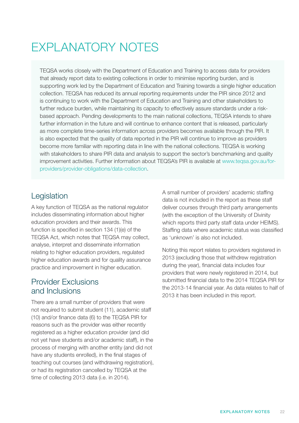# <span id="page-26-0"></span>EXPLANATORY NOTES

TEQSA works closely with the Department of Education and Training to access data for providers that already report data to existing collections in order to minimise reporting burden, and is supporting work led by the Department of Education and Training towards a single higher education collection. TEQSA has reduced its annual reporting requirements under the PIR since 2012 and is continuing to work with the Department of Education and Training and other stakeholders to further reduce burden, while maintaining its capacity to effectively assure standards under a riskbased approach. Pending developments to the main national collections, TEQSA intends to share further information in the future and will continue to enhance content that is released, particularly as more complete time-series information across providers becomes available through the PIR. It is also expected that the quality of data reported in the PIR will continue to improve as providers become more familiar with reporting data in line with the national collections. TEQSA is working with stakeholders to share PIR data and analysis to support the sector's benchmarking and quality improvement activities. Further information about TEQSA's PIR is available at www.teqsa.gov.au/forproviders/provider-obligations/data-collection.

# Legislation

A key function of TEQSA as the national regulator includes disseminating information about higher education providers and their awards. This function is specified in section 134 (1)(e) of the TEQSA Act, which notes that TEQSA may collect, analyse, interpret and disseminate information relating to higher education providers, regulated higher education awards and for quality assurance practice and improvement in higher education.

## Provider Exclusions and Inclusions

There are a small number of providers that were not required to submit student (11), academic staff (10) and/or finance data (6) to the TEQSA PIR for reasons such as the provider was either recently registered as a higher education provider (and did not yet have students and/or academic staff), in the process of merging with another entity (and did not have any students enrolled), in the final stages of teaching out courses (and withdrawing registration), or had its registration cancelled by TEQSA at the time of collecting 2013 data (i.e. in 2014).

A small number of providers' academic staffing data is not included in the report as these staff deliver courses through third party arrangements (with the exception of the University of Divinity which reports third party staff data under HEIMS). Staffing data where academic status was classified as 'unknown' is also not included.

Noting this report relates to providers registered in 2013 (excluding those that withdrew registration during the year), financial data includes four providers that were newly registered in 2014, but submitted financial data to the 2014 TEQSA PIR for the 2013-14 financial year. As data relates to half of 2013 it has been included in this report.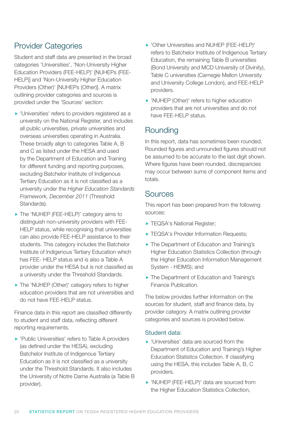# Provider Categories

Student and staff data are presented in the broad categories 'Universities', 'Non-University Higher Education Providers (FEE-HELP)' [NUHEPs (FEE-HELP)] and 'Non-University Higher Education Providers (Other)' [NUHEPs (Other)]. A matrix outlining provider categories and sources is provided under the 'Sources' section:

- 'Universities' refers to providers registered as a university on the National Register, and includes all public universities, private universities and overseas universities operating in Australia. These broadly align to categories Table A, B and C as listed under the HESA and used by the Department of Education and Training for different funding and reporting purposes, excluding Batchelor Institute of Indigenous Tertiary Education as it is not classified as a university under the *Higher Education Standards Framework, December 2011* (Threshold Standards).
- The 'NUHEP (FEE-HELP)' category aims to distinguish non-university providers with FEE-HELP status, while recognising that universities can also provide FEE-HELP assistance to their students. This category includes the Batchelor Institute of Indigenous Tertiary Education which has FEE- HELP status and is also a Table A provider under the HESA but is not classified as a university under the Threshold Standards.
- ▶ The 'NUHEP (Other)' category refers to higher education providers that are not universities and do not have FEE-HELP status.

Finance data in this report are classified differently to student and staff data, reflecting different reporting requirements.

**Public Universities' refers to Table A providers** (as defined under the HESA), excluding Batchelor Institute of Indigenous Tertiary Education as it is not classified as a university under the Threshold Standards. It also includes the University of Notre Dame Australia (a Table B provider).

- 'Other Universities and NUHEP (FEE-HELP)' refers to Batchelor Institute of Indigenous Tertiary Education, the remaining Table B universities (Bond University and MCD University of Divinity), Table C universities (Carnegie Mellon University and University College London), and FEE-HELP providers.
- 'NUHEP (Other)' refers to higher education providers that are not universities and do not have FEE-HELP status.

## **Rounding**

In this report, data has sometimes been rounded. Rounded figures and unrounded figures should not be assumed to be accurate to the last digit shown. Where figures have been rounded, discrepancies may occur between sums of component items and totals.

### **Sources**

This report has been prepared from the following sources:

- TEQSA's National Register;
- **TEQSA's Provider Information Requests:**
- ▶ The Department of Education and Training's Higher Education Statistics Collection (through the Higher Education Information Management System - HEIMS); and
- ▶ The Department of Education and Training's Finance Publication.

The below provides further information on the sources for student, staff and finance data, by provider category. A matrix outlining provider categories and sources is provided below.

### Student data:

- 'Universities' data are sourced from the Department of Education and Training's Higher Education Statistics Collection. If classifying using the HESA, this includes Table A, B, C providers.
- 'NUHEP (FEE-HELP)' data are sourced from the Higher Education Statistics Collection,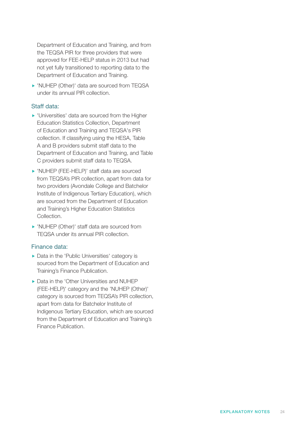Department of Education and Training, and from the TEQSA PIR for three providers that were approved for FEE-HELP status in 2013 but had not yet fully transitioned to reporting data to the Department of Education and Training.

 'NUHEP (Other)' data are sourced from TEQSA under its annual PIR collection.

### Staff data:

- 'Universities' data are sourced from the Higher Education Statistics Collection, Department of Education and Training and TEQSA's PIR collection. If classifying using the HESA, Table A and B providers submit staff data to the Department of Education and Training, and Table C providers submit staff data to TEQSA.
- 'NUHEP (FEE-HELP)' staff data are sourced from TEQSA's PIR collection, apart from data for two providers (Avondale College and Batchelor Institute of Indigenous Tertiary Education), which are sourced from the Department of Education and Training's Higher Education Statistics Collection.
- 'NUHEP (Other)' staff data are sourced from TEQSA under its annual PIR collection.

#### Finance data:

- ▶ Data in the 'Public Universities' category is sourced from the Department of Education and Training's Finance Publication.
- ▶ Data in the 'Other Universities and NUHEP (FEE-HELP)' category and the 'NUHEP (Other)' category is sourced from TEQSA's PIR collection, apart from data for Batchelor Institute of Indigenous Tertiary Education, which are sourced from the Department of Education and Training's Finance Publication.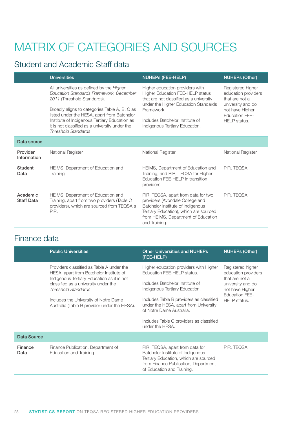# MATRIX OF CATEGORIES AND SOURCES

# Student and Academic Staff data

|                               | <b>Universities</b>                                                                                                                                                                                                                                                                                                                            | <b>NUHEPS (FEE-HELP)</b>                                                                                                                                                                                                                         | <b>NUHEPs (Other)</b>                                                                                                                       |
|-------------------------------|------------------------------------------------------------------------------------------------------------------------------------------------------------------------------------------------------------------------------------------------------------------------------------------------------------------------------------------------|--------------------------------------------------------------------------------------------------------------------------------------------------------------------------------------------------------------------------------------------------|---------------------------------------------------------------------------------------------------------------------------------------------|
|                               | All universities as defined by the Higher<br>Education Standards Framework, December<br>2011 (Threshold Standards).<br>Broadly aligns to categories Table A, B, C as<br>listed under the HESA, apart from Batchelor<br>Institute of Indigenous Tertiary Education as<br>it is not classified as a university under the<br>Threshold Standards. | Higher education providers with<br><b>Higher Education FEE-HELP status</b><br>that are not classified as a university<br>under the Higher Education Standards<br>Framework.<br>Includes Batchelor Institute of<br>Indigenous Tertiary Education. | Registered higher<br>education providers<br>that are not a<br>university and do<br>not have Higher<br><b>Education FEE-</b><br>HELP status. |
| Data source                   |                                                                                                                                                                                                                                                                                                                                                |                                                                                                                                                                                                                                                  |                                                                                                                                             |
| Provider<br>Information       | National Register                                                                                                                                                                                                                                                                                                                              | National Register                                                                                                                                                                                                                                | National Register                                                                                                                           |
| <b>Student</b><br>Data        | HEIMS, Department of Education and<br>Training                                                                                                                                                                                                                                                                                                 | HEIMS, Department of Education and<br>Training, and PIR, TEQSA for Higher<br>Education FEE-HELP in transition<br>providers.                                                                                                                      | PIR, TEQSA                                                                                                                                  |
| Academic<br><b>Staff Data</b> | HEIMS, Department of Education and<br>Training, apart from two providers (Table C<br>providers), which are sourced from TEQSA's<br>PIR.                                                                                                                                                                                                        | PIR, TEQSA, apart from data for two<br>providers (Avondale College and<br>Batchelor Institute of Indigenous<br>Tertiary Education), which are sourced<br>from HEIMS, Department of Education<br>and Training.                                    | PIR, TEQSA                                                                                                                                  |

# Finance data

|                 | <b>Public Universities</b>                                                                                                                                                                                                                                                                  | <b>Other Universities and NUHEPs</b><br>(FEE-HELP)                                                                                                                                                                                                                                                                        | <b>NUHEPs (Other)</b>                                                                                                                       |
|-----------------|---------------------------------------------------------------------------------------------------------------------------------------------------------------------------------------------------------------------------------------------------------------------------------------------|---------------------------------------------------------------------------------------------------------------------------------------------------------------------------------------------------------------------------------------------------------------------------------------------------------------------------|---------------------------------------------------------------------------------------------------------------------------------------------|
|                 | Providers classified as Table A under the<br>HESA, apart from Batchelor Institute of<br>Indigenous Tertiary Education as it is not<br>classified as a university under the<br>Threshold Standards.<br>Includes the University of Notre Dame<br>Australia (Table B provider under the HESA). | Higher education providers with Higher<br>Education FEE-HELP status.<br>Includes Batchelor Institute of<br>Indigenous Tertiary Education.<br>Includes Table B providers as classified<br>under the HESA, apart from University<br>of Notre Dame Australia.<br>Includes Table C providers as classified<br>under the HESA. | Registered higher<br>education providers<br>that are not a<br>university and do<br>not have Higher<br><b>Education FEE-</b><br>HELP status. |
| Data Source     |                                                                                                                                                                                                                                                                                             |                                                                                                                                                                                                                                                                                                                           |                                                                                                                                             |
| Finance<br>Data | Finance Publication, Department of<br><b>Education and Training</b>                                                                                                                                                                                                                         | PIR, TEQSA, apart from data for<br>Batchelor Institute of Indigenous<br>Tertiary Education, which are sourced<br>from Finance Publication, Department<br>of Education and Training.                                                                                                                                       | PIR, TEQSA                                                                                                                                  |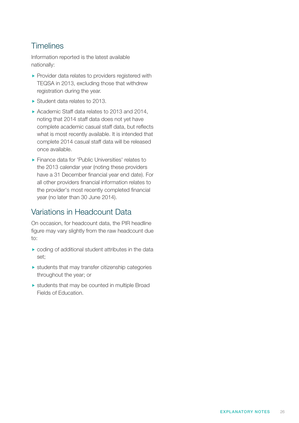# **Timelines**

Information reported is the latest available nationally:

- **Provider data relates to providers registered with** TEQSA in 2013, excluding those that withdrew registration during the year.
- ▶ Student data relates to 2013.
- ▶ Academic Staff data relates to 2013 and 2014, noting that 2014 staff data does not yet have complete academic casual staff data, but reflects what is most recently available. It is intended that complete 2014 casual staff data will be released once available.
- **Finance data for 'Public Universities' relates to** the 2013 calendar year (noting these providers have a 31 December financial year end date). For all other providers financial information relates to the provider's most recently completed financial year (no later than 30 June 2014).

## Variations in Headcount Data

On occasion, for headcount data, the PIR headline figure may vary slightly from the raw headcount due to:

- coding of additional student attributes in the data set;
- $\blacktriangleright$  students that may transfer citizenship categories throughout the year; or
- $\triangleright$  students that may be counted in multiple Broad Fields of Education.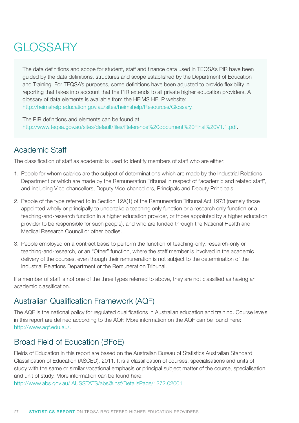# <span id="page-31-0"></span>**GLOSSARY**

The data definitions and scope for student, staff and finance data used in TEQSA's PIR have been guided by the data definitions, structures and scope established by the Department of Education and Training. For TEQSA's purposes, some definitions have been adjusted to provide flexibility in reporting that takes into account that the PIR extends to all private higher education providers. A glossary of data elements is available from the HEIMS HELP website: http://heimshelp.education.gov.au/sites/heimshelp/Resources/Glossary.

The PIR definitions and elements can be found at: http://www.teqsa.gov.au/sites/default/files/Reference%20document%20Final%20V1.1.pdf.

# Academic Staff

The classification of staff as academic is used to identify members of staff who are either:

- 1. People for whom salaries are the subject of determinations which are made by the Industrial Relations Department or which are made by the Remuneration Tribunal in respect of "academic and related staff", and including Vice-chancellors, Deputy Vice-chancellors, Principals and Deputy Principals.
- 2. People of the type referred to in Section 12A(1) of the Remuneration Tribunal Act 1973 (namely those appointed wholly or principally to undertake a teaching only function or a research only function or a teaching-and-research function in a higher education provider, or those appointed by a higher education provider to be responsible for such people), and who are funded through the National Health and Medical Research Council or other bodies.
- 3. People employed on a contract basis to perform the function of teaching-only, research-only or teaching-and-research, or an "Other" function, where the staff member is involved in the academic delivery of the courses, even though their remuneration is not subject to the determination of the Industrial Relations Department or the Remuneration Tribunal.

If a member of staff is not one of the three types referred to above, they are not classified as having an academic classification.

# Australian Qualification Framework (AQF)

The AQF is the national policy for regulated qualifications in Australian education and training. Course levels in this report are defined according to the AQF. More information on the AQF can be found here: http://www.aqf.edu.au/.

# Broad Field of Education (BFoE)

Fields of Education in this report are based on the Australian Bureau of Statistics Australian Standard Classification of Education (ASCED), 2011. It is a classification of courses, specialisations and units of study with the same or similar vocational emphasis or principal subject matter of the course, specialisation and unit of study. More information can be found here:

[http://www.abs.gov.au/ AUSSTATS/abs@.nsf/DetailsPage/1272.02001](http://www.abs.gov.au/AUSSTATS/abs@.nsf/DetailsPage/1272.02001)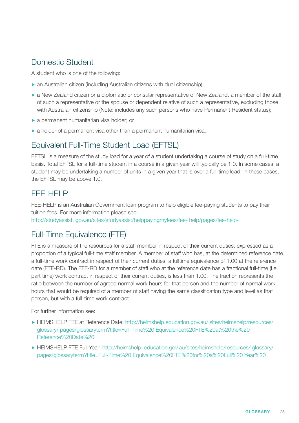# Domestic Student

A student who is one of the following:

- an Australian citizen (including Australian citizens with dual citizenship);
- a New Zealand citizen or a diplomatic or consular representative of New Zealand, a member of the staff of such a representative or the spouse or dependent relative of such a representative, excluding those with Australian citizenship (Note: includes any such persons who have Permanent Resident status);
- a permanent humanitarian visa holder; or
- a holder of a permanent visa other than a permanent humanitarian visa.

# Equivalent Full-Time Student Load (EFTSL)

EFTSL is a measure of the study load for a year of a student undertaking a course of study on a full-time basis. Total EFTSL for a full-time student in a course in a given year will typically be 1.0. In some cases, a student may be undertaking a number of units in a given year that is over a full-time load. In these cases, the EFTSL may be above 1.0.

# FEE-HELP

FEE-HELP is an Australian Government loan program to help eligible fee-paying students to pay their tuition fees. For more information please see:

[http://studyassist. gov.au/sites/studyassist/helppayingmyfees/fee- help/pages/fee-help-](http://studyassist.gov.au/sites/studyassist/helppayingmyfees/fee-help/pages/fee-help-)

# Full-Time Equivalence (FTE)

FTE is a measure of the resources for a staff member in respect of their current duties, expressed as a proportion of a typical full-time staff member. A member of staff who has, at the determined reference date, a full-time work contract in respect of their current duties, a fulltime equivalence of 1.00 at the reference date (FTE-RD). The FTE-RD for a member of staff who at the reference date has a fractional full-time (i.e. part time) work contract in respect of their current duties, is less than 1.00. The fraction represents the ratio between the number of agreed normal work hours for that person and the number of normal work hours that would be required of a member of staff having the same classification type and level as that person, but with a full-time work contract.

For further information see:

- HEIMSHELP FTE at Reference Date: [http://heimshelp.education.gov.au/ sites/heimshelp/resources/](http://heimshelp.education.gov.au/ sites/heimshelp/resources/glossary/ pages/glossaryterm?title=Full-Time%20 Equivalence%20FTE%20at%20the%20 Reference%20Date%20) [glossary/ pages/glossaryterm?title=Full-Time%20 Equivalence%20FTE%20at%20the%20](http://heimshelp.education.gov.au/ sites/heimshelp/resources/glossary/ pages/glossaryterm?title=Full-Time%20 Equivalence%20FTE%20at%20the%20 Reference%20Date%20)  [Reference%20Date%20](http://heimshelp.education.gov.au/ sites/heimshelp/resources/glossary/ pages/glossaryterm?title=Full-Time%20 Equivalence%20FTE%20at%20the%20 Reference%20Date%20)
- HEIMSHELP FTE Full Year: [http://heimshelp. education.gov.au/sites/heimshelp/resources/ glossary/](http://heimshelp. education.gov.au/sites/heimshelp/resources/ glossary/pages/glossaryterm?title=Full-Time%20 Equivalence%20FTE%20for%20a%20Full%20 Year%20) [pages/glossaryterm?title=Full-Time%20 Equivalence%20FTE%20for%20a%20Full%20 Year%20](http://heimshelp. education.gov.au/sites/heimshelp/resources/ glossary/pages/glossaryterm?title=Full-Time%20 Equivalence%20FTE%20for%20a%20Full%20 Year%20)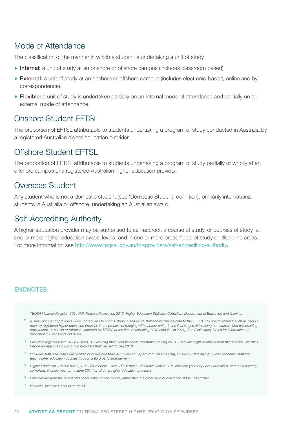# Mode of Attendance

The classification of the manner in which a student is undertaking a unit of study.

- Internal: a unit of study at an onshore or offshore campus (includes classroom based)
- External: a unit of study at an onshore or offshore campus (includes electronic-based, online and by correspondence).
- **Flexible:** a unit of study is undertaken partially on an internal mode of attendance and partially on an external mode of attendance.

# Onshore Student EFTSL

The proportion of EFTSL attributable to students undertaking a program of study conducted in Australia by a registered Australian higher education provider.

# Offshore Student EFTSL

The proportion of EFTSL attributable to students undertaking a program of study partially or wholly at an offshore campus of a registered Australian higher education provider.

## Overseas Student

Any student who is not a domestic student (see 'Domestic Student' definition), primarily international students in Australia or offshore, undertaking an Australian award.

# Self-Accrediting Authority

A higher education provider may be authorised to self-accredit a course of study, or courses of study, at one or more higher education award levels, and in one or more broad fields of study or discipline areas. For more information see [http://www.teqsa. gov.au/for-providers/self-accrediting-authority.](http://www.teqsa.gov.au/for-providers/self-accrediting-authority)

### **ENDNOTES**

- <sup>1</sup> *TEQSA National Register; 2014 PIR; Finance Publication 2013, Higher Education Statistics Collection, Department of Education and Training.*
- <sup>2</sup> A small number of providers were not required to submit student, academic staff and/or finance data to the TEQSA PIR due to context, such as being a recently registered higher education provider, in the process of merging with another entity, in the final stages of teaching out courses (and withdrawing *registration), or had its registration cancelled by TEQSA at the time of collecting 2013 data (i.e. in 2014). See Explanatory Notes for information on provider exclusions and inclusions.*
- <sup>3</sup> *Providers registered with TEQSA in 2013, excluding those that withdrew registration during 2013. There are slight variations from the previous Statistics Report for reasons including two providers that merged during 2013.*
- <sup>4</sup> *Excludes staff with duties unspecified or duties classified as 'unknown'. Apart from the University of Divinity, data also excludes academic staff that teach higher education courses through a third party arrangement.*
- <sup>5</sup> *Higher Education = \$23.2 billion, VET = \$1.5 billion, Other = \$7.6 billion. Reference year is 2013 calendar year for public universities, and most recently completed financial year up to June 2014 for all other higher education providers.*
- <sup>6</sup> *Data derived from the broad field of education of the course, rather than the broad field of education of the unit studied.*
- <sup>7</sup> *Includes Bachelor Honours students.*